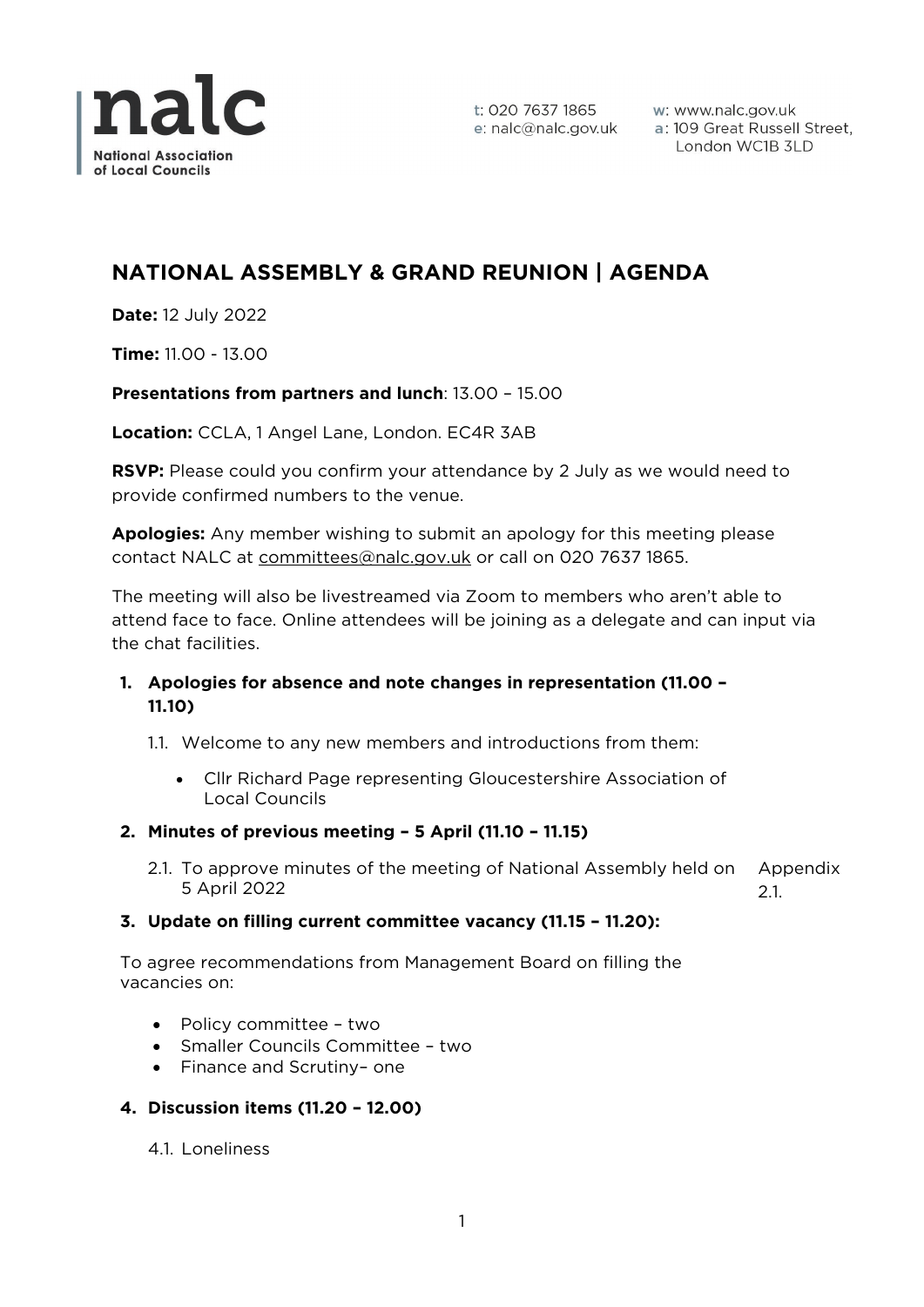

t: 020 7637 1865 e: nalc@nalc.gov.uk w: www.nalc.gov.uk a: 109 Great Russell Street, London WC1B 3LD

# **NATIONAL ASSEMBLY & GRAND REUNION | AGENDA**

**Date:** 12 July 2022

**Time:** 11.00 - 13.00

# **Presentations from partners and lunch**: 13.00 – 15.00

**Location:** CCLA, 1 Angel Lane, London. EC4R 3AB

**RSVP:** Please could you confirm your attendance by 2 July as we would need to provide confirmed numbers to the venue.

**Apologies:** Any member wishing to submit an apology for this meeting please contact NALC at [committees@nalc.gov.uk](mailto:committees@nalc.gov.uk) or call on 020 7637 1865.

The meeting will also be livestreamed via Zoom to members who aren't able to attend face to face. Online attendees will be joining as a delegate and can input via the chat facilities.

# **1. Apologies for absence and note changes in representation (11.00 – 11.10)**

1.1. Welcome to any new members and introductions from them:

- Cllr Richard Page representing Gloucestershire Association of Local Councils
- **2. Minutes of previous meeting – 5 April (11.10 – 11.15)**
	- 2.1. To approve minutes of the meeting of National Assembly held on 5 April 2022 Appendix 2.1.

#### **3. Update on filling current committee vacancy (11.15 – 11.20):**

To agree recommendations from Management Board on filling the vacancies on:

- Policy committee two
- Smaller Councils Committee two
- Finance and Scrutiny– one

#### **4. Discussion items (11.20 – 12.00)**

4.1. Loneliness